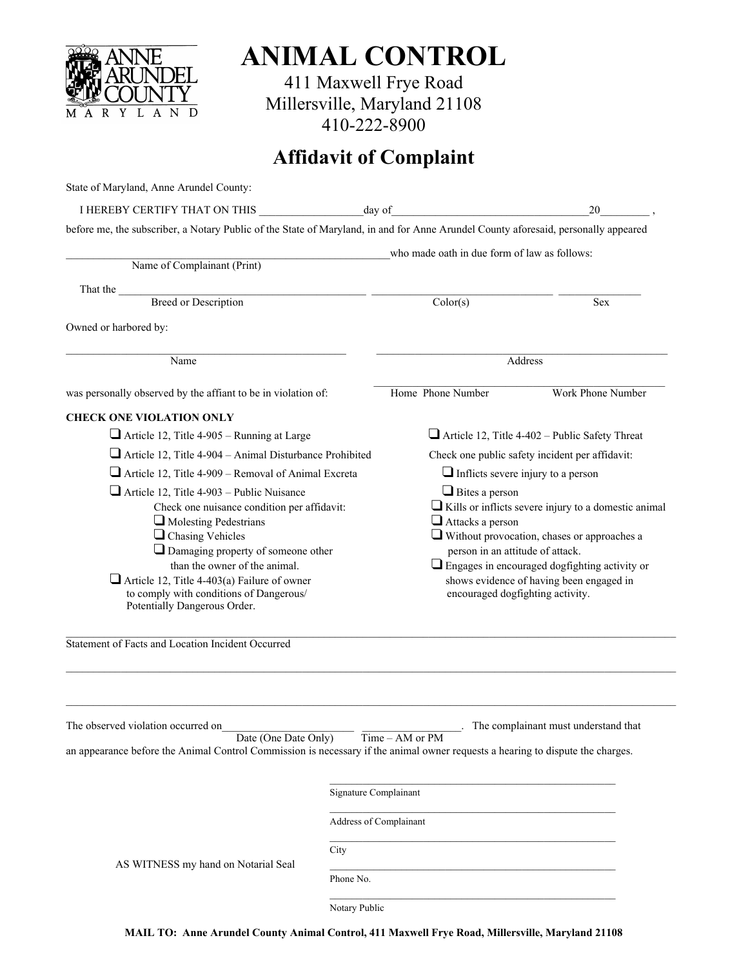

**ANIMAL CONTROL** 

411 Maxwell Frye Road Millersville, Maryland 21108 410-222-8900

# **Affidavit of Complaint**

| State of Maryland, Anne Arundel County:                                                                                                                                                                                                                                                                                                                                                                                 |               |                                                                                                                                                                                                                                                                                                                                            |                                      |  |
|-------------------------------------------------------------------------------------------------------------------------------------------------------------------------------------------------------------------------------------------------------------------------------------------------------------------------------------------------------------------------------------------------------------------------|---------------|--------------------------------------------------------------------------------------------------------------------------------------------------------------------------------------------------------------------------------------------------------------------------------------------------------------------------------------------|--------------------------------------|--|
|                                                                                                                                                                                                                                                                                                                                                                                                                         |               | 20                                                                                                                                                                                                                                                                                                                                         |                                      |  |
| before me, the subscriber, a Notary Public of the State of Maryland, in and for Anne Arundel County aforesaid, personally appeared                                                                                                                                                                                                                                                                                      |               |                                                                                                                                                                                                                                                                                                                                            |                                      |  |
|                                                                                                                                                                                                                                                                                                                                                                                                                         |               | who made oath in due form of law as follows:                                                                                                                                                                                                                                                                                               |                                      |  |
| Name of Complainant (Print)                                                                                                                                                                                                                                                                                                                                                                                             |               |                                                                                                                                                                                                                                                                                                                                            |                                      |  |
| That the <u>Breed or Description</u>                                                                                                                                                                                                                                                                                                                                                                                    |               |                                                                                                                                                                                                                                                                                                                                            |                                      |  |
|                                                                                                                                                                                                                                                                                                                                                                                                                         |               | Color(s)                                                                                                                                                                                                                                                                                                                                   | Sex                                  |  |
| Owned or harbored by:                                                                                                                                                                                                                                                                                                                                                                                                   |               |                                                                                                                                                                                                                                                                                                                                            |                                      |  |
| Name                                                                                                                                                                                                                                                                                                                                                                                                                    |               | Address                                                                                                                                                                                                                                                                                                                                    |                                      |  |
| was personally observed by the affiant to be in violation of:                                                                                                                                                                                                                                                                                                                                                           |               | Home Phone Number                                                                                                                                                                                                                                                                                                                          | Work Phone Number                    |  |
| <b>CHECK ONE VIOLATION ONLY</b>                                                                                                                                                                                                                                                                                                                                                                                         |               |                                                                                                                                                                                                                                                                                                                                            |                                      |  |
| Article 12, Title 4-905 - Running at Large                                                                                                                                                                                                                                                                                                                                                                              |               | $\Box$ Article 12, Title 4-402 – Public Safety Threat                                                                                                                                                                                                                                                                                      |                                      |  |
| $\Box$ Article 12, Title 4-904 – Animal Disturbance Prohibited                                                                                                                                                                                                                                                                                                                                                          |               | Check one public safety incident per affidavit:                                                                                                                                                                                                                                                                                            |                                      |  |
| $\Box$ Article 12, Title 4-909 – Removal of Animal Excreta                                                                                                                                                                                                                                                                                                                                                              |               | $\Box$ Inflicts severe injury to a person                                                                                                                                                                                                                                                                                                  |                                      |  |
| $\Box$ Article 12, Title 4-903 – Public Nuisance<br>Check one nuisance condition per affidavit:<br>$\Box$ Molesting Pedestrians<br>$\Box$ Chasing Vehicles<br>$\Box$ Damaging property of someone other<br>than the owner of the animal.<br>Article 12, Title 4-403(a) Failure of owner<br>to comply with conditions of Dangerous/<br>Potentially Dangerous Order.<br>Statement of Facts and Location Incident Occurred |               | $\Box$ Bites a person<br>$\Box$ Kills or inflicts severe injury to a domestic animal<br>$\Box$ Attacks a person<br>Without provocation, chases or approaches a<br>person in an attitude of attack.<br>$\Box$ Engages in encouraged dogfighting activity or<br>shows evidence of having been engaged in<br>encouraged dogfighting activity. |                                      |  |
| The observed violation occurred on<br>Date (One Date Only)                                                                                                                                                                                                                                                                                                                                                              |               | Time - AM or PM                                                                                                                                                                                                                                                                                                                            | The complainant must understand that |  |
| an appearance before the Animal Control Commission is necessary if the animal owner requests a hearing to dispute the charges.                                                                                                                                                                                                                                                                                          |               |                                                                                                                                                                                                                                                                                                                                            |                                      |  |
|                                                                                                                                                                                                                                                                                                                                                                                                                         |               | Signature Complainant                                                                                                                                                                                                                                                                                                                      |                                      |  |
| Address of Complainant                                                                                                                                                                                                                                                                                                                                                                                                  |               |                                                                                                                                                                                                                                                                                                                                            |                                      |  |
| AS WITNESS my hand on Notarial Seal                                                                                                                                                                                                                                                                                                                                                                                     | City          |                                                                                                                                                                                                                                                                                                                                            |                                      |  |
|                                                                                                                                                                                                                                                                                                                                                                                                                         | Phone No.     |                                                                                                                                                                                                                                                                                                                                            |                                      |  |
|                                                                                                                                                                                                                                                                                                                                                                                                                         | Notary Public |                                                                                                                                                                                                                                                                                                                                            |                                      |  |

**MAIL TO: Anne Arundel County Animal Control, 411 Maxwell Frye Road, Millersville, Maryland 21108**